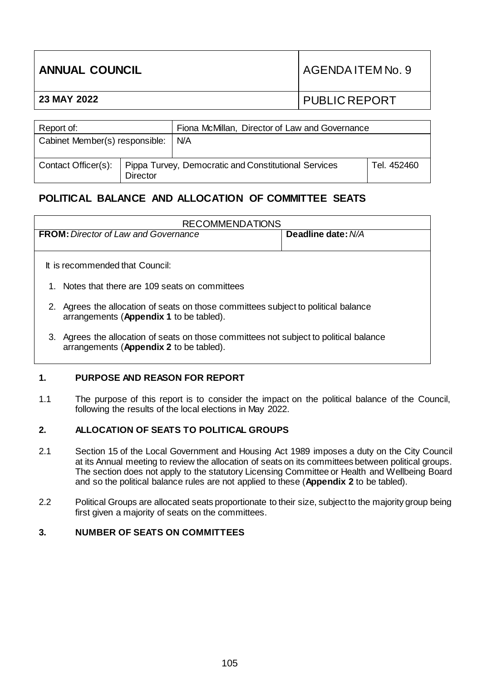| <b>ANNUAL COUNCIL</b> |                                                | AGENDA ITEM No. 9    |  |
|-----------------------|------------------------------------------------|----------------------|--|
| 23 MAY 2022           |                                                | <b>PUBLIC REPORT</b> |  |
|                       |                                                |                      |  |
| Report of:            | Fiona McMillan, Director of Law and Governance |                      |  |

| $\overline{\phantom{a}}$       |                 | <u>Florid McMillari, Director or Law and Ocyclitatice</u> |             |  |
|--------------------------------|-----------------|-----------------------------------------------------------|-------------|--|
| Cabinet Member(s) responsible: |                 | N/A                                                       |             |  |
| Contact Officer(s):            | <b>Director</b> | Pippa Turvey, Democratic and Constitutional Services      | Tel. 452460 |  |

# **POLITICAL BALANCE AND ALLOCATION OF COMMITTEE SEATS**

| <b>RECOMMENDATIONS</b>                                                                                                               |                    |  |  |  |
|--------------------------------------------------------------------------------------------------------------------------------------|--------------------|--|--|--|
| <b>FROM:</b> Director of Law and Governance                                                                                          | Deadline date: N/A |  |  |  |
|                                                                                                                                      |                    |  |  |  |
| It is recommended that Council:                                                                                                      |                    |  |  |  |
| Notes that there are 109 seats on committees                                                                                         |                    |  |  |  |
| 2. Agrees the allocation of seats on those committees subject to political balance<br>arrangements (Appendix 1 to be tabled).        |                    |  |  |  |
| Agrees the allocation of seats on those committees not subject to political balance<br>3.<br>arrangements (Appendix 2 to be tabled). |                    |  |  |  |

### **1. PURPOSE AND REASON FOR REPORT**

1.1 The purpose of this report is to consider the impact on the political balance of the Council, following the results of the local elections in May 2022.

### **2. ALLOCATION OF SEATS TO POLITICAL GROUPS**

- 2.1 Section 15 of the Local Government and Housing Act 1989 imposes a duty on the City Council at its Annual meeting to review the allocation of seats on its committees between political groups. The section does not apply to the statutory Licensing Committee or Health and Wellbeing Board and so the political balance rules are not applied to these (**Appendix 2** to be tabled).
- 2.2 Political Groups are allocated seats proportionate to their size, subject to the majority group being first given a majority of seats on the committees.

### **3. NUMBER OF SEATS ON COMMITTEES**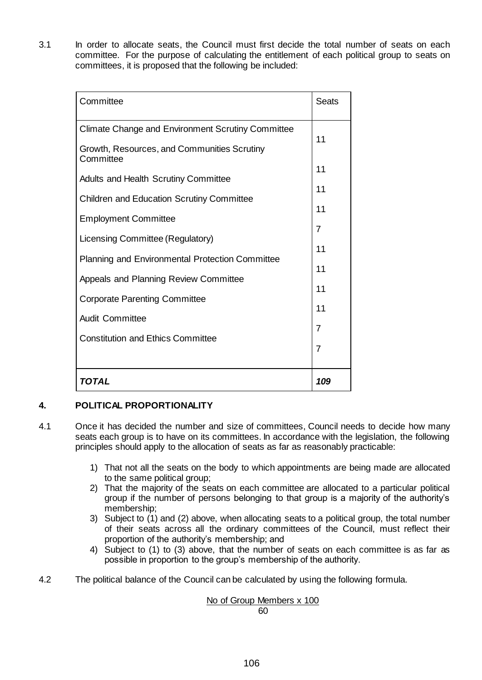3.1 In order to allocate seats, the Council must first decide the total number of seats on each committee. For the purpose of calculating the entitlement of each political group to seats on committees, it is proposed that the following be included:

| Committee                                                | <b>Seats</b> |  |
|----------------------------------------------------------|--------------|--|
| <b>Climate Change and Environment Scrutiny Committee</b> | 11           |  |
| Growth, Resources, and Communities Scrutiny<br>Committee |              |  |
| <b>Adults and Health Scrutiny Committee</b>              | 11           |  |
| <b>Children and Education Scrutiny Committee</b>         | 11           |  |
| <b>Employment Committee</b>                              |              |  |
| Licensing Committee (Regulatory)                         | 7<br>11      |  |
| Planning and Environmental Protection Committee          |              |  |
| Appeals and Planning Review Committee                    |              |  |
| <b>Corporate Parenting Committee</b>                     | 11           |  |
| <b>Audit Committee</b>                                   | 11           |  |
| <b>Constitution and Ethics Committee</b>                 | 7            |  |
|                                                          |              |  |
|                                                          |              |  |
| TOTAL                                                    | 109          |  |

## **4. POLITICAL PROPORTIONALITY**

- 4.1 Once it has decided the number and size of committees, Council needs to decide how many seats each group is to have on its committees. In accordance with the legislation, the following principles should apply to the allocation of seats as far as reasonably practicable:
	- 1) That not all the seats on the body to which appointments are being made are allocated to the same political group;
	- 2) That the majority of the seats on each committee are allocated to a particular political group if the number of persons belonging to that group is a majority of the authority's membership;
	- 3) Subject to (1) and (2) above, when allocating seats to a political group, the total number of their seats across all the ordinary committees of the Council, must reflect their proportion of the authority's membership; and
	- 4) Subject to (1) to (3) above, that the number of seats on each committee is as far as possible in proportion to the group's membership of the authority.
- 4.2 The political balance of the Council can be calculated by using the following formula.

## No of Group Members x 100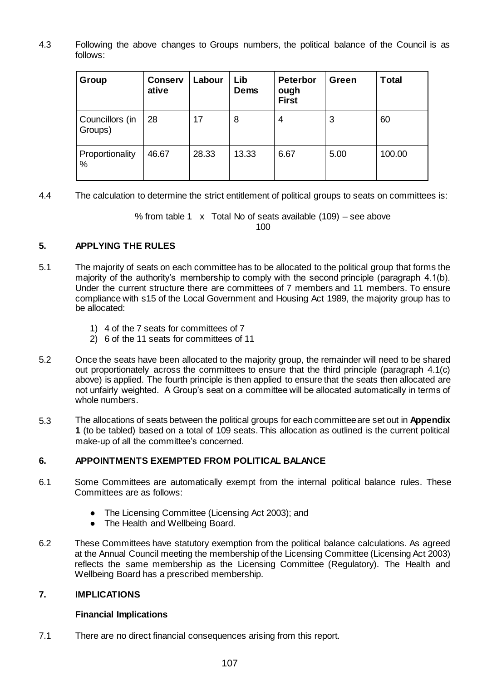4.3 Following the above changes to Groups numbers, the political balance of the Council is as follows:

| Group                      | <b>Conserv</b><br>ative | Labour | Lib<br>Dems | <b>Peterbor</b><br>ough<br><b>First</b> | Green | <b>Total</b> |
|----------------------------|-------------------------|--------|-------------|-----------------------------------------|-------|--------------|
| Councillors (in<br>Groups) | 28                      | 17     | 8           | 4                                       | 3     | 60           |
| Proportionality<br>$\%$    | 46.67                   | 28.33  | 13.33       | 6.67                                    | 5.00  | 100.00       |

4.4 The calculation to determine the strict entitlement of political groups to seats on committees is:

% from table 1 x Total No of seats available (109) – see above

100

### **5. APPLYING THE RULES**

- 5.1 The majority of seats on each committee has to be allocated to the political group that forms the majority of the authority's membership to comply with the second principle (paragraph 4.1(b). Under the current structure there are committees of 7 members and 11 members. To ensure compliance with s15 of the Local Government and Housing Act 1989, the majority group has to be allocated:
	- 1) 4 of the 7 seats for committees of 7
	- 2) 6 of the 11 seats for committees of 11
- 5.2 Once the seats have been allocated to the majority group, the remainder will need to be shared out proportionately across the committees to ensure that the third principle (paragraph 4.1(c) above) is applied. The fourth principle is then applied to ensure that the seats then allocated are not unfairly weighted. A Group's seat on a committee will be allocated automatically in terms of whole numbers.
- 5.3 The allocations of seats between the political groups for each committee are set out in **Appendix 1** (to be tabled) based on a total of 109 seats. This allocation as outlined is the current political make-up of all the committee's concerned.

### **6. APPOINTMENTS EXEMPTED FROM POLITICAL BALANCE**

- 6.1 Some Committees are automatically exempt from the internal political balance rules. These Committees are as follows:
	- The Licensing Committee (Licensing Act 2003); and
	- The Health and Wellbeing Board.
- 6.2 These Committees have statutory exemption from the political balance calculations. As agreed at the Annual Council meeting the membership of the Licensing Committee (Licensing Act 2003) reflects the same membership as the Licensing Committee (Regulatory). The Health and Wellbeing Board has a prescribed membership.

### **7. IMPLICATIONS**

#### **Financial Implications**

7.1 There are no direct financial consequences arising from this report.